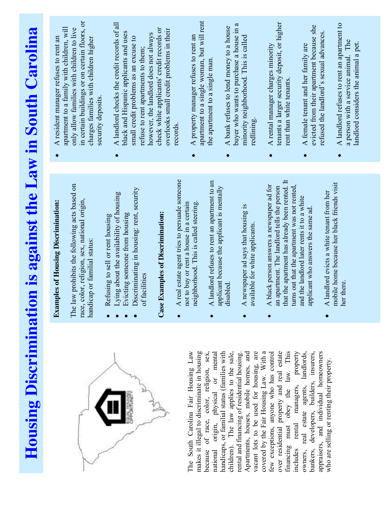| on is against the Law in South Carolina<br>A real estate agent tries to persuade someone<br>that the apartment has already been rented. It<br>A landlord refuses to rent an apartment to an<br>mobile home because her black friends visit<br>A black person answers a newspaper ad for<br>The law prohibits the following acts based on<br>turns out that the apartment was not rented,<br>applicant because the applicant is mentally<br>an apartment. The landlord tells the person<br>Discriminating in housing: rent, security<br>A landlord evicts a white tenant from her<br>Lying about the availability of housing<br>and the landlord later rents it to a white<br>race, color, religion, sex, national origin,<br><b>Examples of Housing Discrimination:</b><br>not to buy or rent a house in a certain<br>neighborhood. This is called steering.<br>A newspaper ad says that housing is<br>applicant who answers the same ad.<br>Case Examples of Discrimination:<br>Evicting someone from housing<br>Refusing to sell or rent housing<br>available for white applicants. |
|---------------------------------------------------------------------------------------------------------------------------------------------------------------------------------------------------------------------------------------------------------------------------------------------------------------------------------------------------------------------------------------------------------------------------------------------------------------------------------------------------------------------------------------------------------------------------------------------------------------------------------------------------------------------------------------------------------------------------------------------------------------------------------------------------------------------------------------------------------------------------------------------------------------------------------------------------------------------------------------------------------------------------------------------------------------------------------------|
|---------------------------------------------------------------------------------------------------------------------------------------------------------------------------------------------------------------------------------------------------------------------------------------------------------------------------------------------------------------------------------------------------------------------------------------------------------------------------------------------------------------------------------------------------------------------------------------------------------------------------------------------------------------------------------------------------------------------------------------------------------------------------------------------------------------------------------------------------------------------------------------------------------------------------------------------------------------------------------------------------------------------------------------------------------------------------------------|